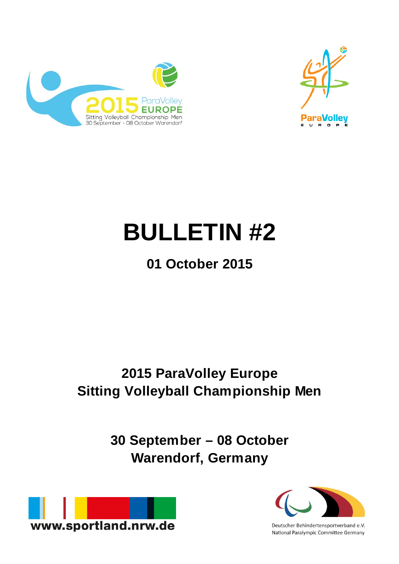



# **BULLETIN #2**

# **01 October 2015**

## **2015 ParaVolley Europe Sitting Volleyball Championship Men**

**30 September – 08 October Warendorf, Germany**



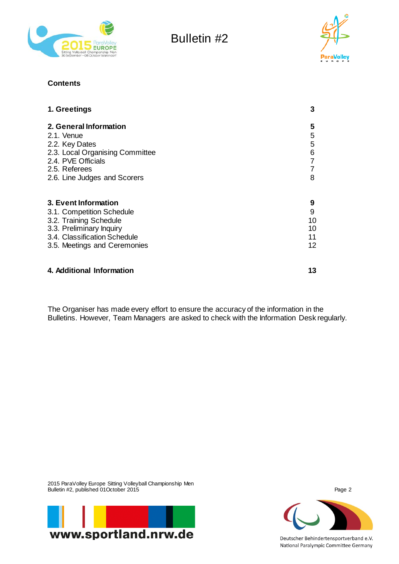



#### **Contents**

| 1. Greetings                    | 3              |
|---------------------------------|----------------|
| 2. General Information          | 5              |
| 2.1. Venue                      | 5              |
| 2.2. Key Dates                  | 5              |
| 2.3. Local Organising Committee | 6              |
| 2.4. PVE Officials              | $\overline{7}$ |
| 2.5. Referees                   | $\overline{7}$ |
| 2.6. Line Judges and Scorers    | 8              |
| 3. Event Information            | 9              |
| 3.1. Competition Schedule       | 9              |
| 3.2. Training Schedule          | 10             |
| 3.3. Preliminary Inquiry        | 10             |
| 3.4. Classification Schedule    | 11             |
| 3.5. Meetings and Ceremonies    | 12             |
| 4. Additional Information       |                |

The Organiser has made every effort to ensure the accuracy of the information in the Bulletins. However, Team Managers are asked to check with the Information Desk regularly.

2015 ParaVolley Europe Sitting Volleyball Championship Men Bulletin #2, published 01October 2015 Page 2



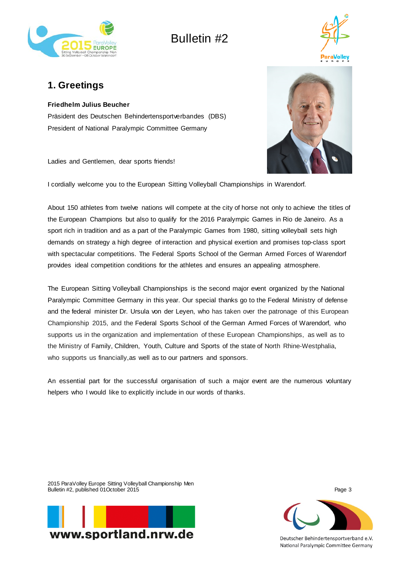



## **1. Greetings**

#### **Friedhelm Julius Beucher**

Präsident des Deutschen Behindertensportverbandes (DBS) President of National Paralympic Committee Germany

Ladies and Gentlemen, dear sports friends!

I cordially welcome you to the European Sitting Volleyball Championships in Warendorf.

About 150 athletes from twelve nations will compete at the city of horse not only to achieve the titles of the European Champions but also to qualify for the 2016 Paralympic Games in Rio de Janeiro. As a sport rich in tradition and as a part of the Paralympic Games from 1980, sitting volleyball sets high demands on strategy a high degree of interaction and physical exertion and promises top-class sport with spectacular competitions. The Federal Sports School of the German Armed Forces of Warendorf provides ideal competition conditions for the athletes and ensures an appealing atmosphere.

The European Sitting Volleyball Championships is the second major event organized by the National Paralympic Committee Germany in this year. Our special thanks go to the Federal Ministry of defense and the federal minister Dr. Ursula von der Leyen, who has taken over the patronage of this European Championship 2015, and the Federal Sports School of the German Armed Forces of Warendorf, who supports us in the organization and implementation of these European Championships, as well as to the Ministry of Family, Children, Youth, Culture and Sports of the state of North Rhine-Westphalia, who supports us financially,as well as to our partners and sponsors.

An essential part for the successful organisation of such a major event are the numerous voluntary helpers who I would like to explicitly include in our words of thanks.

2015 ParaVolley Europe Sitting Volleyball Championship Men Bulletin #2, published 01October 2015 Page 3





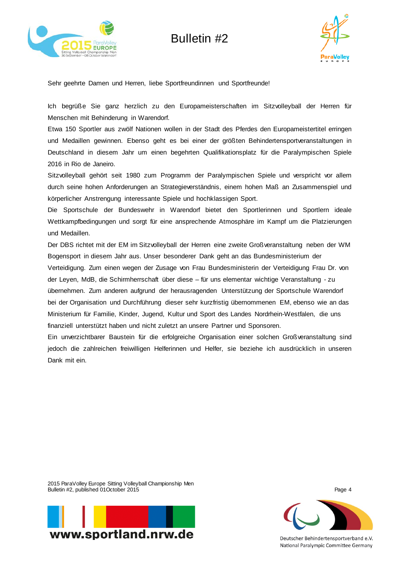



Sehr geehrte Damen und Herren, liebe Sportfreundinnen und Sportfreunde!

Ich begrüße Sie ganz herzlich zu den Europameisterschaften im Sitzvolleyball der Herren für Menschen mit Behinderung in Warendorf.

Etwa 150 Sportler aus zwölf Nationen wollen in der Stadt des Pferdes den Europameistertitel erringen und Medaillen gewinnen. Ebenso geht es bei einer der größten Behindertensportveranstaltungen in Deutschland in diesem Jahr um einen begehrten Qualifikationsplatz für die Paralympischen Spiele 2016 in Rio de Janeiro.

Sitzvolleyball gehört seit 1980 zum Programm der Paralympischen Spiele und verspricht vor allem durch seine hohen Anforderungen an Strategieverständnis, einem hohen Maß an Zusammenspiel und körperlicher Anstrengung interessante Spiele und hochklassigen Sport.

Die Sportschule der Bundeswehr in Warendorf bietet den Sportlerinnen und Sportlern ideale Wettkampfbedingungen und sorgt für eine ansprechende Atmosphäre im Kampf um die Platzierungen und Medaillen.

Der DBS richtet mit der EM im Sitzvolleyball der Herren eine zweite Großveranstaltung neben der WM Bogensport in diesem Jahr aus. Unser besonderer Dank geht an das Bundesministerium der

Verteidigung. Zum einen wegen der Zusage von Frau Bundesministerin der Verteidigung Frau Dr. von der Leyen, MdB, die Schirmherrschaft über diese – für uns elementar wichtige Veranstaltung - zu übernehmen. Zum anderen aufgrund der herausragenden Unterstützung der Sportschule Warendorf bei der Organisation und Durchführung dieser sehr kurzfristig übernommenen EM, ebenso wie an das Ministerium für Familie, Kinder, Jugend, Kultur und Sport des Landes Nordrhein-Westfalen, die uns finanziell unterstützt haben und nicht zuletzt an unsere Partner und Sponsoren.

Ein unverzichtbarer Baustein für die erfolgreiche Organisation einer solchen Großveranstaltung sind jedoch die zahlreichen freiwilligen Helferinnen und Helfer, sie beziehe ich ausdrücklich in unseren Dank mit ein.

2015 ParaVolley Europe Sitting Volleyball Championship Men Bulletin #2, published 01October 2015 Page 4



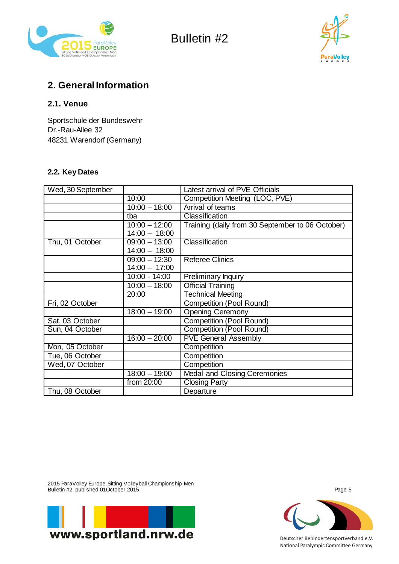



## **2. General Information**

#### **2.1. Venue**

Sportschule der Bundeswehr Dr.-Rau-Allee 32 48231 Warendorf (Germany)

#### **2.2. Key Dates**

| Wed, 30 September |                 | Latest arrival of PVE Officials                  |
|-------------------|-----------------|--------------------------------------------------|
|                   | 10:00           | Competition Meeting (LOC, PVE)                   |
|                   | $10:00 - 18:00$ | Arrival of teams                                 |
|                   | tba             | Classification                                   |
|                   | $10:00 - 12:00$ | Training (daily from 30 September to 06 October) |
|                   | $14:00 - 18:00$ |                                                  |
| Thu, 01 October   | $09:00 - 13:00$ | Classification                                   |
|                   | $14:00 - 18:00$ |                                                  |
|                   | $09:00 - 12:30$ | <b>Referee Clinics</b>                           |
|                   | $14:00 - 17:00$ |                                                  |
|                   | $10:00 - 14:00$ | Preliminary Inquiry                              |
|                   | $10:00 - 18:00$ | Official Training                                |
|                   | 20:00           | <b>Technical Meeting</b>                         |
| Fri, 02 October   |                 | <b>Competition (Pool Round)</b>                  |
|                   | $18:00 - 19:00$ | <b>Opening Ceremony</b>                          |
| Sat, 03 October   |                 | <b>Competition (Pool Round)</b>                  |
| Sun, 04 October   |                 | Competition (Pool Round)                         |
|                   | $16:00 - 20:00$ | <b>PVE General Assembly</b>                      |
| Mon, 05 October   |                 | Competition                                      |
| Tue, 06 October   |                 | Competition                                      |
| Wed, 07 October   |                 | Competition                                      |
|                   | $18:00 - 19:00$ | Medal and Closing Ceremonies                     |
|                   | from 20:00      | <b>Closing Party</b>                             |
| Thu, 08 October   |                 | Departure                                        |

2015 ParaVolley Europe Sitting Volleyball Championship Men Bulletin #2, published 01October 2015 Page 5

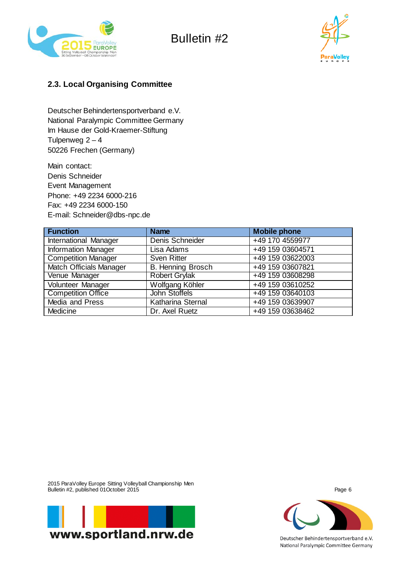



## **2.3. Local Organising Committee**

Deutscher Behindertensportverband e.V. National Paralympic Committee Germany Im Hause der Gold-Kraemer-Stiftung Tulpenweg  $2 - 4$ 50226 Frechen (Germany)

Main contact: Denis Schneider Event Management Phone: +49 2234 6000-216 Fax: +49 2234 6000-150 E-mail: Schneider@dbs-npc.de

| <b>Function</b>                | <b>Name</b>              | <b>Mobile phone</b> |
|--------------------------------|--------------------------|---------------------|
| <b>International Manager</b>   | Denis Schneider          | +49 170 4559977     |
| <b>Information Manager</b>     | Lisa Adams               | +49 159 03604571    |
| <b>Competition Manager</b>     | <b>Sven Ritter</b>       | +49 159 03622003    |
| <b>Match Officials Manager</b> | <b>B. Henning Brosch</b> | +49 159 03607821    |
| Venue Manager                  | <b>Robert Grylak</b>     | +49 159 03608298    |
| Volunteer Manager              | Wolfgang Köhler          | +49 159 03610252    |
| <b>Competition Office</b>      | John Stoffels            | +49 159 03640103    |
| Media and Press                | <b>Katharina Sternal</b> | +49 159 03639907    |
| Medicine                       | Dr. Axel Ruetz           | +49 159 03638462    |

2015 ParaVolley Europe Sitting Volleyball Championship Men Bulletin #2, published 01October 2015 Page 6



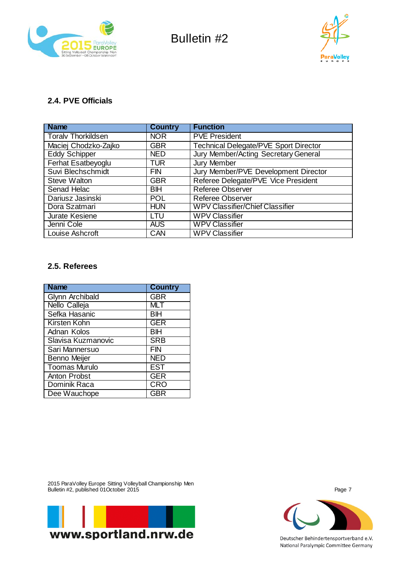



## **2.4. PVE Officials**

| <b>Name</b>               | <b>Country</b> | <b>Function</b>                        |
|---------------------------|----------------|----------------------------------------|
| <b>Toralv Thorkildsen</b> | <b>NOR</b>     | <b>PVE President</b>                   |
| Maciej Chodzko-Zajko      | <b>GBR</b>     | Technical Delegate/PVE Sport Director  |
| <b>Eddy Schipper</b>      | <b>NED</b>     | Jury Member/Acting Secretary General   |
| Ferhat Esatbeyoglu        | <b>TUR</b>     | Jury Member                            |
| Suvi Blechschmidt         | <b>FIN</b>     | Jury Member/PVE Development Director   |
| <b>Steve Walton</b>       | <b>GBR</b>     | Referee Delegate/PVE Vice President    |
| Senad Helac               | <b>BIH</b>     | <b>Referee Observer</b>                |
| Dariusz Jasinski          | <b>POL</b>     | <b>Referee Observer</b>                |
| Dora Szatmari             | <b>HUN</b>     | <b>WPV Classifier/Chief Classifier</b> |
| Jurate Kesiene            | LTU            | <b>WPV Classifier</b>                  |
| Jenni Cole                | <b>AUS</b>     | <b>WPV Classifier</b>                  |
| Louise Ashcroft           | CAN            | <b>WPV Classifier</b>                  |

#### **2.5. Referees**

| <b>Name</b>          | <b>Country</b> |
|----------------------|----------------|
| Glynn Archibald      | <b>GBR</b>     |
| Nello Calleja        | <b>MLT</b>     |
| Sefka Hasanic        | <b>BIH</b>     |
| Kirsten Kohn         | <b>GER</b>     |
| Adnan Kolos          | ΒH             |
| Slavisa Kuzmanovic   | <b>SRB</b>     |
| Sari Mannersuo       | FIN            |
| <b>Benno Meijer</b>  | <b>NED</b>     |
| <b>Toomas Murulo</b> | <b>EST</b>     |
| <b>Anton Probst</b>  | <b>GER</b>     |
| Dominik Raca         | <b>CRO</b>     |
| Dee Wauchope         | <b>GBR</b>     |

2015 ParaVolley Europe Sitting Volleyball Championship Men Bulletin #2, published 01October 2015 Page 7



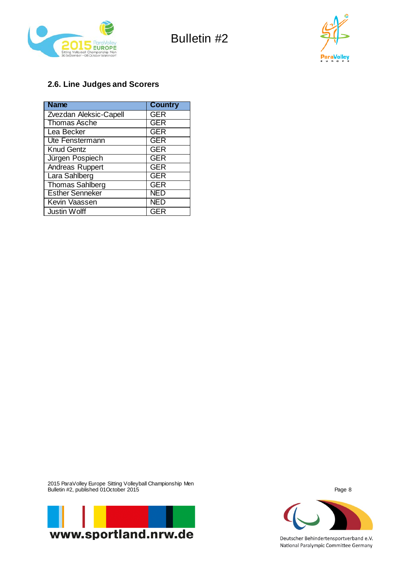



## **2.6. Line Judges and Scorers**

| <b>Name</b>            | <b>Country</b> |
|------------------------|----------------|
| Zvezdan Aleksic-Capell | <b>GER</b>     |
| <b>Thomas Asche</b>    | <b>GER</b>     |
| Lea Becker             | <b>GER</b>     |
| Ute Fenstermann        | <b>GER</b>     |
| <b>Knud Gentz</b>      | <b>GER</b>     |
| Jürgen Pospiech        | <b>GER</b>     |
| Andreas Ruppert        | <b>GER</b>     |
| Lara Sahlberg          | <b>GER</b>     |
| <b>Thomas Sahlberg</b> | <b>GER</b>     |
| <b>Esther Senneker</b> | NED            |
| Kevin Vaassen          | <b>NED</b>     |
| <b>Justin Wolff</b>    | <b>GER</b>     |

2015 ParaVolley Europe Sitting Volleyball Championship Men Bulletin #2, published 01October 2015 Page 8



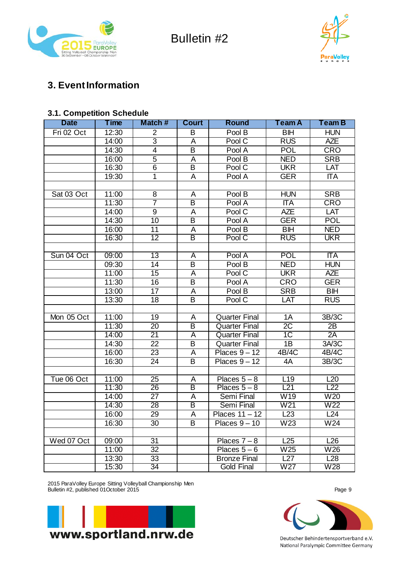



## **3. Event Information**

## **3.1. Competition Schedule**

| <b>Date</b> | Time  | Match#                  | <b>Court</b>            | <b>Round</b>         | Team A                   | Team B                   |
|-------------|-------|-------------------------|-------------------------|----------------------|--------------------------|--------------------------|
| Fri 02 Oct  | 12:30 | $\overline{2}$          | B                       | Pool B               | <b>BIH</b>               | <b>HUN</b>               |
|             | 14:00 | $\overline{3}$          | Ā                       | Pool C               | <b>RUS</b>               | <b>AZE</b>               |
|             | 14:30 | $\overline{\mathbf{4}}$ | $\overline{\mathsf{B}}$ | Pool A               | <b>POL</b>               | <b>CRO</b>               |
|             | 16:00 | $\overline{5}$          | А                       | Pool B               | <b>NED</b>               | <b>SRB</b>               |
|             | 16:30 | 6                       | B                       | Pool C               | <b>UKR</b>               | LAT                      |
|             | 19:30 | 1                       | A                       | Pool A               | <b>GER</b>               | <b>ITA</b>               |
|             |       |                         |                         |                      |                          |                          |
| Sat 03 Oct  | 11:00 | 8                       | A                       | Pool B               | <b>HUN</b>               | <b>SRB</b>               |
|             | 11:30 | $\overline{7}$          | В                       | Pool A               | $\overline{\text{II}}$ A | <b>CRO</b>               |
|             | 14:00 | $\boldsymbol{9}$        | A                       | Pool C               | <b>AZE</b>               | LAT                      |
|             | 14:30 | 10                      | $\overline{\mathsf{B}}$ | Pool A               | <b>GER</b>               | <b>POL</b>               |
|             | 16:00 | 11                      | А                       | Pool B               | <b>BIH</b>               | <b>NED</b>               |
|             | 16:30 | $\overline{12}$         | $\overline{\mathsf{B}}$ | Pool C               | <b>RUS</b>               | <b>UKR</b>               |
|             |       |                         |                         |                      |                          |                          |
| Sun 04 Oct  | 09:00 | 13                      | A                       | Pool A               | <b>POL</b>               | $\overline{\text{II}}$ A |
|             | 09:30 | 14                      | B                       | Pool B               | <b>NED</b>               | <b>HUN</b>               |
|             | 11:00 | $\overline{15}$         | $\overline{\mathsf{A}}$ | PoolC                | <b>UKR</b>               | <b>AZE</b>               |
|             | 11:30 | 16                      | B                       | Pool A               | <b>CRO</b>               | <b>GER</b>               |
|             | 13:00 | $\overline{17}$         | Α                       | Pool B               | <b>SRB</b>               | <b>BIH</b>               |
|             | 13:30 | 18                      | $\overline{\mathsf{B}}$ | Pool C               | LAT                      | <b>RUS</b>               |
|             |       |                         |                         |                      |                          |                          |
| Mon 05 Oct  | 11:00 | 19                      | A                       | <b>Quarter Final</b> | 1A                       | 3B/3C                    |
|             | 11:30 | 20                      | $\overline{\mathsf{B}}$ | <b>Quarter Final</b> | $\overline{2C}$          | 2B                       |
|             | 14:00 | $\overline{21}$         | $\overline{\mathsf{A}}$ | <b>Quarter Final</b> | 1C                       | 2A                       |
|             | 14:30 | 22                      | B                       | <b>Quarter Final</b> | 1B                       | 3A/3C                    |
|             | 16:00 | 23                      | Α                       | Places $9 - 12$      | 4B/4C                    | 4B/4C                    |
|             | 16:30 | 24                      | $\overline{B}$          | Places $9 - 12$      | 4A                       | 3B/3C                    |
|             |       |                         |                         |                      |                          |                          |
| Tue 06 Oct  | 11:00 | 25                      | Α                       | Places $5 - 8$       | L <sub>19</sub>          | L20                      |
|             | 11:30 | 26                      | $\overline{\mathsf{B}}$ | $Places 5-8$         | L21                      | L22                      |
|             | 14:00 | 27                      | Α                       | Semi Final           | W19                      | W20                      |
|             | 14:30 | $\overline{28}$         | B                       | Semi Final           | W <sub>21</sub>          | W <sub>22</sub>          |
|             | 16:00 | 29                      | A                       | Places $11 - 12$     | L23                      | $\overline{L2}4$         |
|             | 16:30 | 30                      | B                       | Places $9 - 10$      | W23                      | W24                      |
|             |       |                         |                         |                      |                          |                          |
| Wed 07 Oct  | 09:00 | 31                      |                         | Places $7 - 8$       | L25                      | L26                      |
|             | 11:00 | 32                      |                         | Places $5-6$         | W25                      | W26                      |
|             | 13:30 | 33                      |                         | <b>Bronze Final</b>  | L27                      | L <sub>28</sub>          |
|             | 15:30 | $\overline{34}$         |                         | <b>Gold Final</b>    | W <sub>27</sub>          | W <sub>28</sub>          |

2015 ParaVolley Europe Sitting Volleyball Championship Men Bulletin #2, published 01October 2015 Page 9



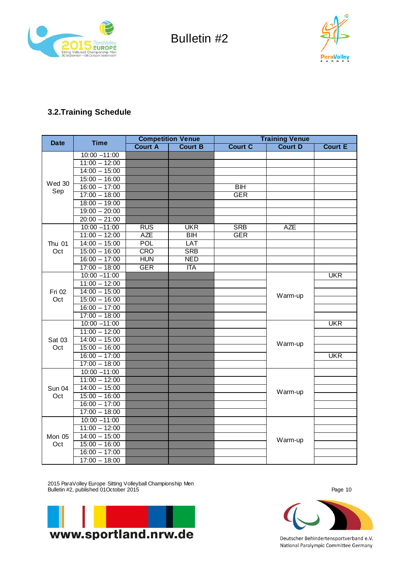



## **3.2.Training Schedule**

| <b>Date</b>   | <b>Time</b>     | <b>Competition Venue</b> |                |                | <b>Training Venue</b> |                |
|---------------|-----------------|--------------------------|----------------|----------------|-----------------------|----------------|
|               |                 | <b>Court A</b>           | <b>Court B</b> | <b>Court C</b> | <b>Court D</b>        | <b>Court E</b> |
|               | $10:00 - 11:00$ |                          |                |                |                       |                |
|               | $11:00 - 12:00$ |                          |                |                |                       |                |
|               | $14:00 - 15:00$ |                          |                |                |                       |                |
| Wed 30        | $15:00 - 16:00$ |                          |                |                |                       |                |
| Sep           | $16:00 - 17:00$ |                          |                | <b>BIH</b>     |                       |                |
|               | $17:00 - 18:00$ |                          |                | <b>GER</b>     |                       |                |
|               | $18:00 - 19:00$ |                          |                |                |                       |                |
|               | $19:00 - 20:00$ |                          |                |                |                       |                |
|               | $20:00 - 21:00$ |                          |                |                |                       |                |
|               | $10:00 - 11:00$ | <b>RUS</b>               | <b>UKR</b>     | <b>SRB</b>     | <b>AZE</b>            |                |
|               | $11:00 - 12:00$ | <b>AZE</b>               | <b>BIH</b>     | <b>GER</b>     |                       |                |
| <b>Thu 01</b> | $14:00 - 15:00$ | POL                      | LAT            |                |                       |                |
| Oct           | $15:00 - 16:00$ | <b>CRO</b>               | <b>SRB</b>     |                |                       |                |
|               | $16:00 - 17:00$ | <b>HUN</b>               | <b>NED</b>     |                |                       |                |
|               | $17:00 - 18:00$ | <b>GER</b>               | <b>ITA</b>     |                |                       |                |
|               | $10:00 - 11:00$ |                          |                |                |                       | <b>UKR</b>     |
|               | $11:00 - 12:00$ |                          |                |                |                       |                |
| Fri 02        | $14:00 - 15:00$ |                          |                |                | Warm-up               |                |
| Oct           | $15:00 - 16:00$ |                          |                |                |                       |                |
|               | $16:00 - 17:00$ |                          |                |                |                       |                |
|               | $17:00 - 18:00$ |                          |                |                |                       |                |
|               | $10:00 - 11:00$ |                          |                |                |                       | <b>UKR</b>     |
|               | $11:00 - 12:00$ |                          |                |                |                       |                |
| Sat 03        | $14:00 - 15:00$ |                          |                |                | Warm-up               |                |
| Oct           | $15:00 - 16:00$ |                          |                |                |                       |                |
|               | $16:00 - 17:00$ |                          |                |                |                       | <b>UKR</b>     |
|               | $17:00 - 18:00$ |                          |                |                |                       |                |
|               | $10:00 - 11:00$ |                          |                |                |                       |                |
|               | $11:00 - 12:00$ |                          |                |                |                       |                |
| <b>Sun 04</b> | $14:00 - 15:00$ |                          |                |                | Warm-up               |                |
| Oct           | $15:00 - 16:00$ |                          |                |                |                       |                |
|               | $16:00 - 17:00$ |                          |                |                |                       |                |
|               | $17:00 - 18:00$ |                          |                |                |                       |                |
|               | $10:00 - 11:00$ |                          |                |                |                       |                |
|               | $11:00 - 12:00$ |                          |                |                |                       |                |
| Mon 05        | $14:00 - 15:00$ |                          |                |                | Warm-up               |                |
| Oct           | $15:00 - 16:00$ |                          |                |                |                       |                |
|               | $16:00 - 17:00$ |                          |                |                |                       |                |
|               | $17:00 - 18:00$ |                          |                |                |                       |                |

2015 ParaVolley Europe Sitting Volleyball Championship Men Bulletin #2, published 01October 2015 Page 10



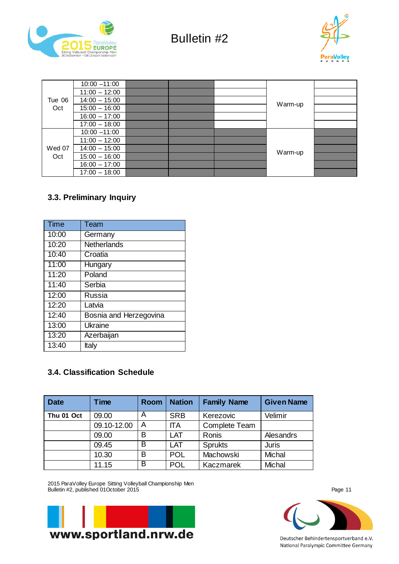



|        | $10:00 - 11:00$ |  |         |  |
|--------|-----------------|--|---------|--|
|        | $11:00 - 12:00$ |  |         |  |
| Tue 06 | $14:00 - 15:00$ |  | Warm-up |  |
| Oct    | $15:00 - 16:00$ |  |         |  |
|        | $16:00 - 17:00$ |  |         |  |
|        | $17:00 - 18:00$ |  |         |  |
|        | $10:00 - 11:00$ |  |         |  |
|        | $11:00 - 12:00$ |  |         |  |
| Wed 07 | $14:00 - 15:00$ |  |         |  |
| Oct    | $15:00 - 16:00$ |  | Warm-up |  |
|        | $16:00 - 17:00$ |  |         |  |
|        | $17:00 - 18:00$ |  |         |  |

## **3.3. Preliminary Inquiry**

| <b>Time</b> | Team                   |
|-------------|------------------------|
| 10:00       | Germany                |
| 10:20       | Netherlands            |
| 10:40       | Croatia                |
| 11:00       | Hungary                |
| 11:20       | Poland                 |
| 11:40       | Serbia                 |
| 12:00       | Russia                 |
| 12:20       | Latvia                 |
| 12:40       | Bosnia and Herzegovina |
| 13:00       | Ukraine                |
| 13:20       | Azerbaijan             |
| 13:40       | Italy                  |

## **3.4. Classification Schedule**

| <b>Date</b> | Time        | <b>Room</b> | <b>Nation</b> | <b>Family Name</b>   | <b>Given Name</b> |
|-------------|-------------|-------------|---------------|----------------------|-------------------|
| Thu 01 Oct  | 09.00       | Α           | <b>SRB</b>    | Kerezovic            | Velimir           |
|             | 09.10-12.00 | Α           | <b>ITA</b>    | <b>Complete Team</b> |                   |
|             | 09.00       | B           | LAT           | Ronis                | Alesandrs         |
|             | 09.45       | B           | LAT           | <b>Sprukts</b>       | <b>Juris</b>      |
|             | 10.30       | B           | <b>POL</b>    | Machowski            | Michal            |
|             | 11.15       | B           | POL           | Kaczmarek            | Michal            |

2015 ParaVolley Europe Sitting Volleyball Championship Men Bulletin #2, published 01October 2015 Page 11



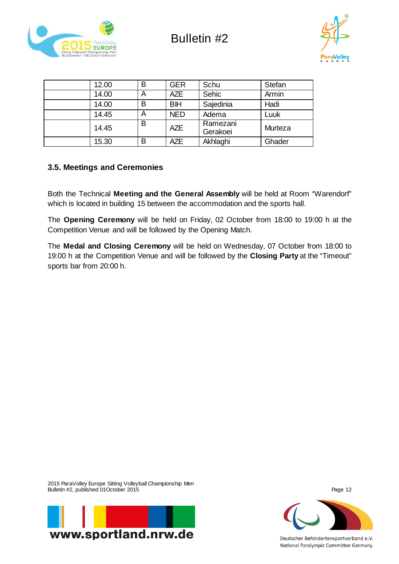



| 12.00 | B | <b>GER</b> | Schu                 | Stefan  |
|-------|---|------------|----------------------|---------|
| 14.00 | A | <b>AZE</b> | Sehic                | Armin   |
| 14.00 | B | <b>BIH</b> | Sajedinia            | Hadi    |
| 14.45 | A | <b>NED</b> | Adema                | Luuk    |
| 14.45 | Β | <b>AZE</b> | Ramezani<br>Gerakoei | Murteza |
| 15.30 | B | <b>AZE</b> | Akhlaghi             | Ghader  |

## **3.5. Meetings and Ceremonies**

Both the Technical **Meeting and the General Assembly** will be held at Room "Warendorf" which is located in building 15 between the accommodation and the sports hall.

The **Opening Ceremony** will be held on Friday, 02 October from 18:00 to 19:00 h at the Competition Venue and will be followed by the Opening Match.

The **Medal and Closing Ceremony** will be held on Wednesday, 07 October from 18:00 to 19:00 h at the Competition Venue and will be followed by the **Closing Party** at the "Timeout" sports bar from 20:00 h.

2015 ParaVolley Europe Sitting Volleyball Championship Men Bulletin #2, published 01October 2015 Page 12



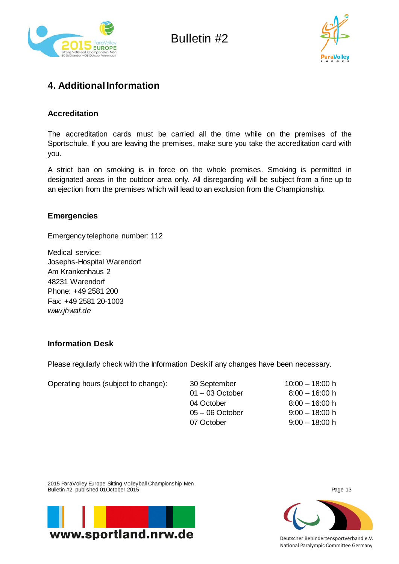![](_page_12_Picture_0.jpeg)

![](_page_12_Picture_2.jpeg)

## **4. Additional Information**

#### **Accreditation**

The accreditation cards must be carried all the time while on the premises of the Sportschule. If you are leaving the premises, make sure you take the accreditation card with you.

A strict ban on smoking is in force on the whole premises. Smoking is permitted in designated areas in the outdoor area only. All disregarding will be subject from a fine up to an ejection from the premises which will lead to an exclusion from the Championship.

#### **Emergencies**

Emergency telephone number: 112

Medical service: Josephs-Hospital Warendorf Am Krankenhaus 2 48231 Warendorf Phone: +49 2581 200 Fax: +49 2581 20-1003 *[www.jhwaf.de](http://www.jhwaf.de/)*

## **Information Desk**

Please regularly check with the Information Desk if any changes have been necessary.

| Operating hours (subject to change): | 30 September      | $10:00 - 18:00$ h |
|--------------------------------------|-------------------|-------------------|
|                                      | $01 - 03$ October | $8:00 - 16:00$ h  |
|                                      | 04 October        | $8:00 - 16:00$ h  |
|                                      | $05 - 06$ October | $9:00 - 18:00$ h  |
|                                      | 07 October        | $9:00 - 18:00$ h  |

2015 ParaVolley Europe Sitting Volleyball Championship Men Bulletin #2, published 01October 2015 Page 13

![](_page_12_Picture_14.jpeg)

![](_page_12_Picture_15.jpeg)